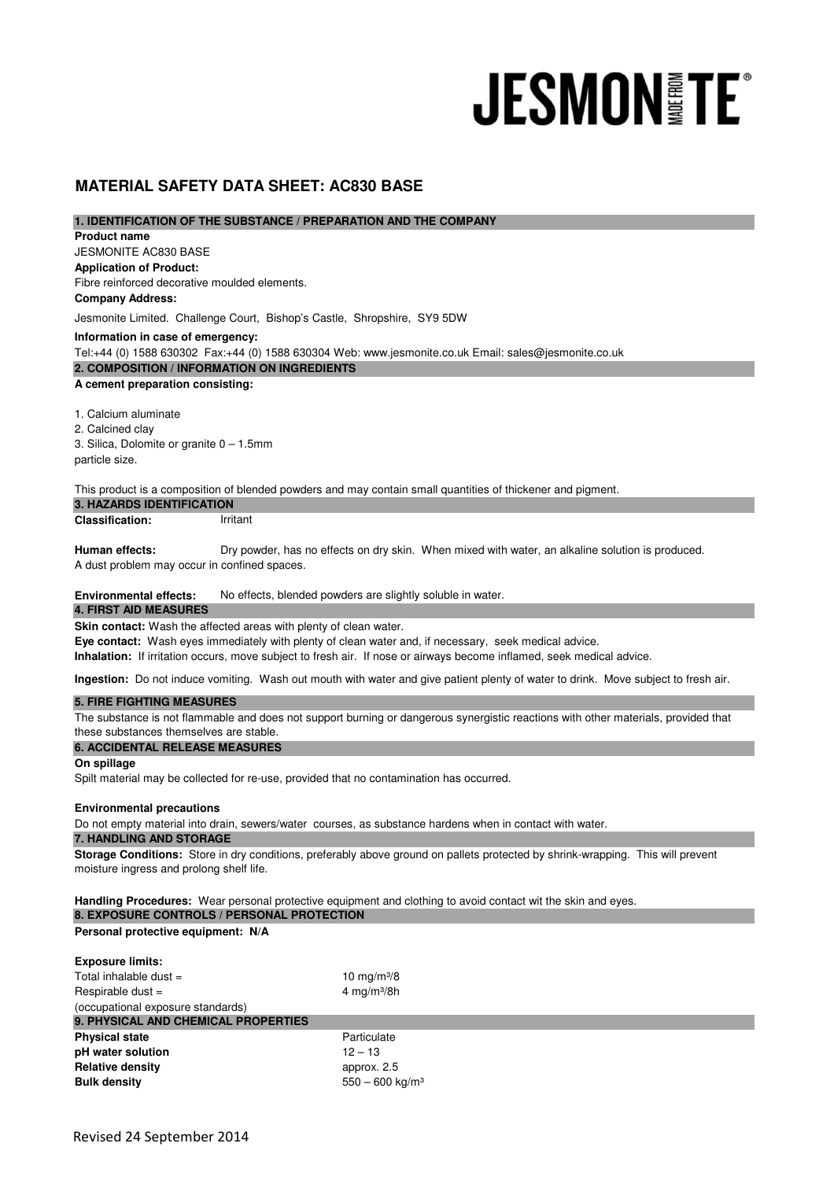# **JESMONITE®**

# **MATERIAL SAFETY DATA SHEET: AC830 BASE**

# **1. IDENTIFICATION OF THE SUBSTANCE / PREPARATION AND THE COMPANY**

JESMONITE AC830 BASE **Application of Product:**  Fibre reinforced decorative moulded elements. **A cement preparation consisting:** 1. Calcium aluminate 2. Calcined clay **Information in case of emergency: 2. COMPOSITION / INFORMATION ON INGREDIENTS Product name Company Address:** Jesmonite Limited. Challenge Court, Bishop's Castle, Shropshire, SY9 5DW Tel:+44 (0) 1588 630302 Fax:+44 (0) 1588 630304 Web: www.jesmonite.co.uk Email: sales@jesmonite.co.uk

3. Silica, Dolomite or granite 0 – 1.5mm particle size.

This product is a composition of blended powders and may contain small quantities of thickener and pigment.

**Classification:** Irritant **3. HAZARDS IDENTIFICATION** 

**Human effects:**  Dry powder, has no effects on dry skin. When mixed with water, an alkaline solution is produced.

A dust problem may occur in confined spaces.

**Environmental effects:** No effects, blended powders are slightly soluble in water.

#### **4. FIRST AID MEASURES**

**Skin contact:** Wash the affected areas with plenty of clean water.

**Eye contact:** Wash eyes immediately with plenty of clean water and, if necessary, seek medical advice.

**Inhalation:** If irritation occurs, move subject to fresh air. If nose or airways become inflamed, seek medical advice.

**Ingestion:** Do not induce vomiting. Wash out mouth with water and give patient plenty of water to drink. Move subject to fresh air.

# **5. FIRE FIGHTING MEASURES**

The substance is not flammable and does not support burning or dangerous synergistic reactions with other materials, provided that these substances themselves are stable.

#### **6. ACCIDENTAL RELEASE MEASURES**

**On spillage**

Spilt material may be collected for re-use, provided that no contamination has occurred.

#### **Environmental precautions**

Do not empty material into drain, sewers/water courses, as substance hardens when in contact with water.

# **7. HANDLING AND STORAGE**

**Storage Conditions:** Store in dry conditions, preferably above ground on pallets protected by shrink-wrapping. This will prevent moisture ingress and prolong shelf life.

**Handling Procedures:** Wear personal protective equipment and clothing to avoid contact wit the skin and eyes. **8. EXPOSURE CONTROLS / PERSONAL PROTECTION** 

### **Personal protective equipment: N/A**

| <b>Exposure limits:</b>             |                               |
|-------------------------------------|-------------------------------|
| Total inhalable dust $=$            | 10 $mg/m^{3}/8$               |
| Respirable dust $=$                 | 4 mg/m $3/8h$                 |
| (occupational exposure standards)   |                               |
| 9. PHYSICAL AND CHEMICAL PROPERTIES |                               |
| <b>Physical state</b>               | Particulate                   |
| pH water solution                   | $12 - 13$                     |
| <b>Relative density</b>             | approx. 2.5                   |
| <b>Bulk density</b>                 | $550 - 600$ kg/m <sup>3</sup> |